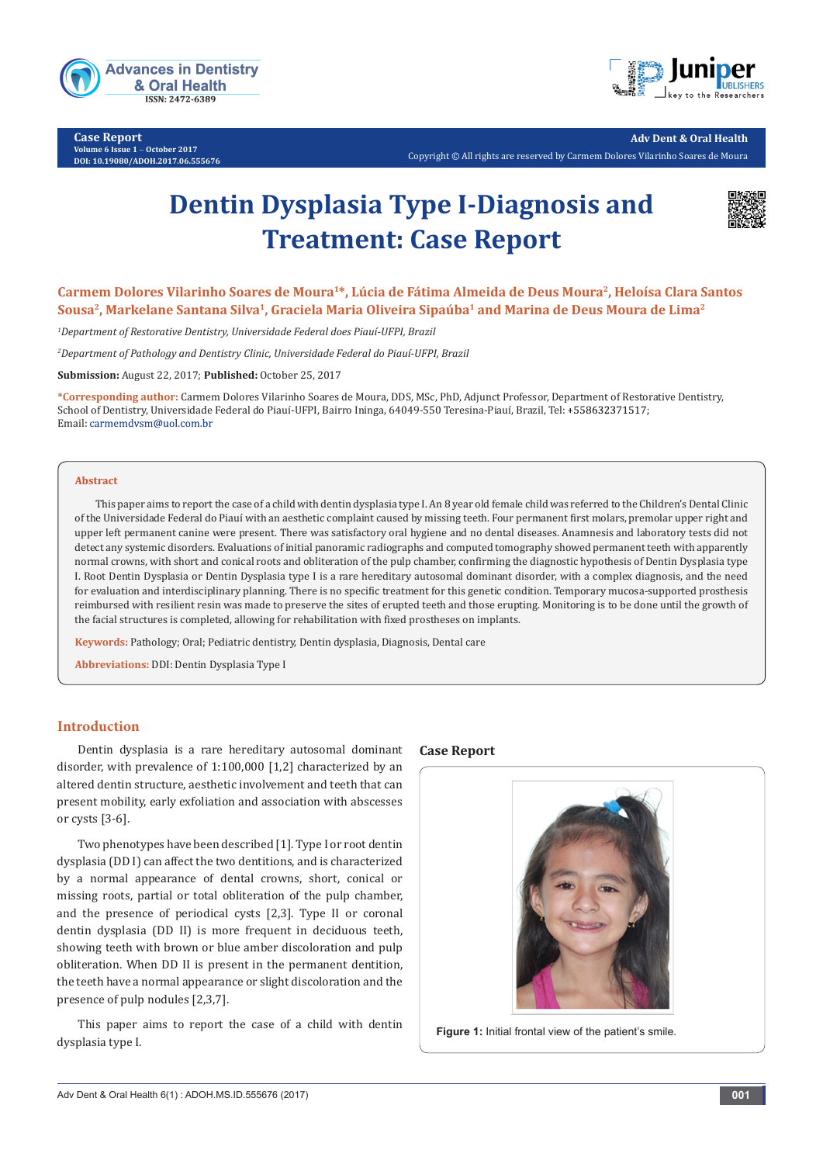

**Case Report Volume 6 Issue 1** - **October 2017 DOI: [10.19080/ADOH.2017.06.555676](http://dx.doi.org/10.19080/ADOH.2017.06.555676)**



**Adv Dent & Oral Health** 

Copyright © All rights are reserved by Carmem Dolores Vilarinho Soares de Moura

# **Dentin Dysplasia Type I-Diagnosis and Treatment: Case Report**



Carmem Dolores Vilarinho Soares de Moura<sup>1\*</sup>, Lúcia de Fátima Almeida de Deus Moura<sup>2</sup>, Heloísa Clara Santos **Sousa2, Markelane Santana Silva1, Graciela Maria Oliveira Sipaúba1 and Marina de Deus Moura de Lima2**

*1 Department of Restorative Dentistry, Universidade Federal does Piauí-UFPI, Brazil* 

*2 Department of Pathology and Dentistry Clinic, Universidade Federal do Piauí-UFPI, Brazil* 

**Submission:** August 22, 2017; **Published:** October 25, 2017

**\*Corresponding author:** Carmem Dolores Vilarinho Soares de Moura, DDS, MSc, PhD, Adjunct Professor, Department of Restorative Dentistry, School of Dentistry, Universidade Federal do Piauí-UFPI, Bairro Ininga, 64049-550 Teresina-Piauí, Brazil, Tel: Email: carmemdvsm@uol.com.br

#### **Abstract**

This paper aims to report the case of a child with dentin dysplasia type I. An 8 year old female child was referred to the Children's Dental Clinic of the Universidade Federal do Piauí with an aesthetic complaint caused by missing teeth. Four permanent first molars, premolar upper right and upper left permanent canine were present. There was satisfactory oral hygiene and no dental diseases. Anamnesis and laboratory tests did not detect any systemic disorders. Evaluations of initial panoramic radiographs and computed tomography showed permanent teeth with apparently normal crowns, with short and conical roots and obliteration of the pulp chamber, confirming the diagnostic hypothesis of Dentin Dysplasia type I. Root Dentin Dysplasia or Dentin Dysplasia type I is a rare hereditary autosomal dominant disorder, with a complex diagnosis, and the need for evaluation and interdisciplinary planning. There is no specific treatment for this genetic condition. Temporary mucosa-supported prosthesis reimbursed with resilient resin was made to preserve the sites of erupted teeth and those erupting. Monitoring is to be done until the growth of the facial structures is completed, allowing for rehabilitation with fixed prostheses on implants.

**Keywords:** Pathology; Oral; Pediatric dentistry, Dentin dysplasia, Diagnosis, Dental care

**Abbreviations:** DDI: Dentin Dysplasia Type I

### **Introduction**

Dentin dysplasia is a rare hereditary autosomal dominant disorder, with prevalence of 1:100,000 [1,2] characterized by an altered dentin structure, aesthetic involvement and teeth that can present mobility, early exfoliation and association with abscesses or cysts [3-6].

Two phenotypes have been described [1]. Type I or root dentin dysplasia (DD I) can affect the two dentitions, and is characterized by a normal appearance of dental crowns, short, conical or missing roots, partial or total obliteration of the pulp chamber, and the presence of periodical cysts [2,3]. Type II or coronal dentin dysplasia (DD II) is more frequent in deciduous teeth, showing teeth with brown or blue amber discoloration and pulp obliteration. When DD II is present in the permanent dentition, the teeth have a normal appearance or slight discoloration and the presence of pulp nodules [2,3,7].

This paper aims to report the case of a child with dentin dysplasia type I.

#### **Case Report**



Figure 1: Initial frontal view of the patient's smile.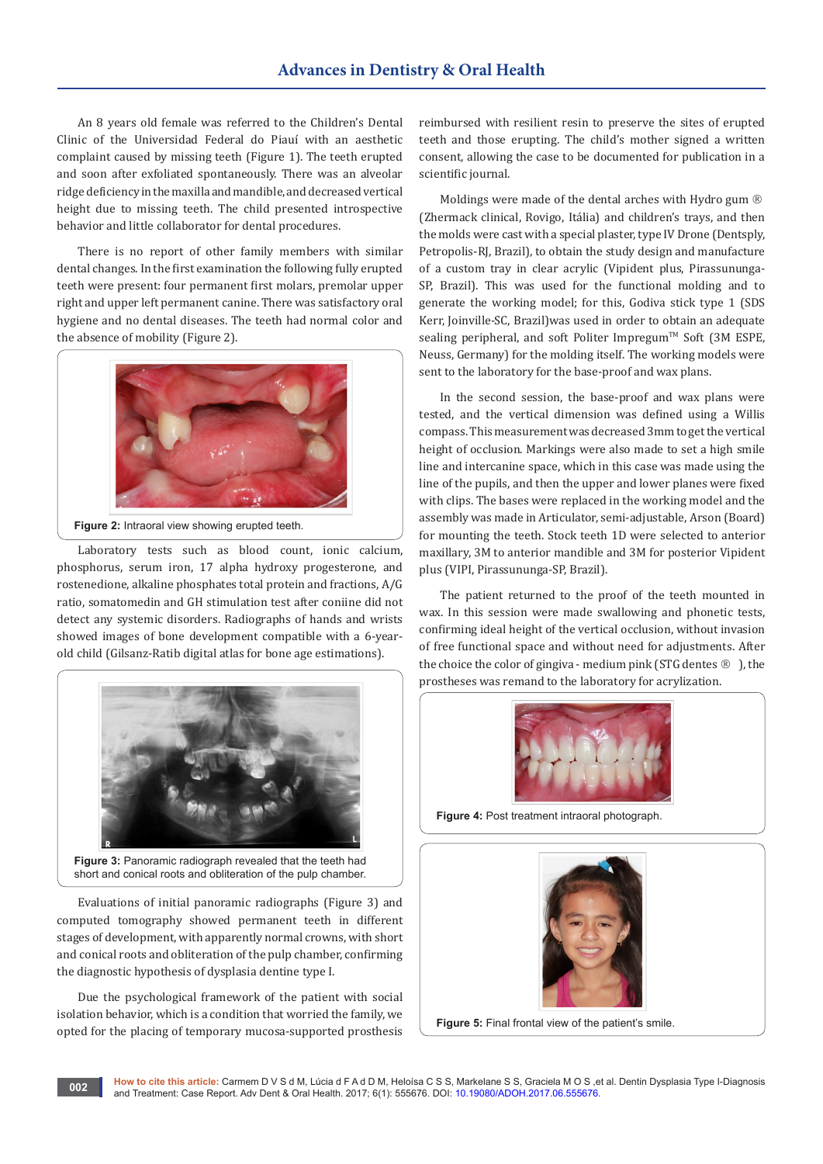An 8 years old female was referred to the Children's Dental Clinic of the Universidad Federal do Piauí with an aesthetic complaint caused by missing teeth (Figure 1). The teeth erupted and soon after exfoliated spontaneously. There was an alveolar ridge deficiency in the maxilla and mandible, and decreased vertical height due to missing teeth. The child presented introspective behavior and little collaborator for dental procedures.

There is no report of other family members with similar dental changes. In the first examination the following fully erupted teeth were present: four permanent first molars, premolar upper right and upper left permanent canine. There was satisfactory oral hygiene and no dental diseases. The teeth had normal color and the absence of mobility (Figure 2).



**Figure 2:** Intraoral view showing erupted teeth.

Laboratory tests such as blood count, ionic calcium, phosphorus, serum iron, 17 alpha hydroxy progesterone, and rostenedione, alkaline phosphates total protein and fractions, A/G ratio, somatomedin and GH stimulation test after coniine did not detect any systemic disorders. Radiographs of hands and wrists showed images of bone development compatible with a 6-yearold child (Gilsanz-Ratib digital atlas for bone age estimations).



Figure 3: Panoramic radiograph revealed that the teeth had short and conical roots and obliteration of the pulp chamber.

Evaluations of initial panoramic radiographs (Figure 3) and computed tomography showed permanent teeth in different stages of development, with apparently normal crowns, with short and conical roots and obliteration of the pulp chamber, confirming the diagnostic hypothesis of dysplasia dentine type I.

Due the psychological framework of the patient with social isolation behavior, which is a condition that worried the family, we opted for the placing of temporary mucosa-supported prosthesis reimbursed with resilient resin to preserve the sites of erupted teeth and those erupting. The child's mother signed a written consent, allowing the case to be documented for publication in a scientific journal.

Moldings were made of the dental arches with Hydro gum ® (Zhermack clinical, Rovigo, Itália) and children's trays, and then the molds were cast with a special plaster, type IV Drone (Dentsply, Petropolis-RJ, Brazil), to obtain the study design and manufacture of a custom tray in clear acrylic (Vipident plus, Pirassununga-SP, Brazil). This was used for the functional molding and to generate the working model; for this, Godiva stick type 1 (SDS Kerr, Joinville-SC, Brazil)was used in order to obtain an adequate sealing peripheral, and soft Politer Impregum™ Soft (3M ESPE, Neuss, Germany) for the molding itself. The working models were sent to the laboratory for the base-proof and wax plans.

In the second session, the base-proof and wax plans were tested, and the vertical dimension was defined using a Willis compass. This measurement was decreased 3mm to get the vertical height of occlusion. Markings were also made to set a high smile line and intercanine space, which in this case was made using the line of the pupils, and then the upper and lower planes were fixed with clips. The bases were replaced in the working model and the assembly was made in Articulator, semi-adjustable, Arson (Board) for mounting the teeth. Stock teeth 1D were selected to anterior maxillary, 3M to anterior mandible and 3M for posterior Vipident plus (VIPI, Pirassununga-SP, Brazil).

The patient returned to the proof of the teeth mounted in wax. In this session were made swallowing and phonetic tests, confirming ideal height of the vertical occlusion, without invasion of free functional space and without need for adjustments. After the choice the color of gingiva - medium pink (STG dentes  $\circledR$ ), the prostheses was remand to the laboratory for acrylization.



**Figure 4:** Post treatment intraoral photograph.



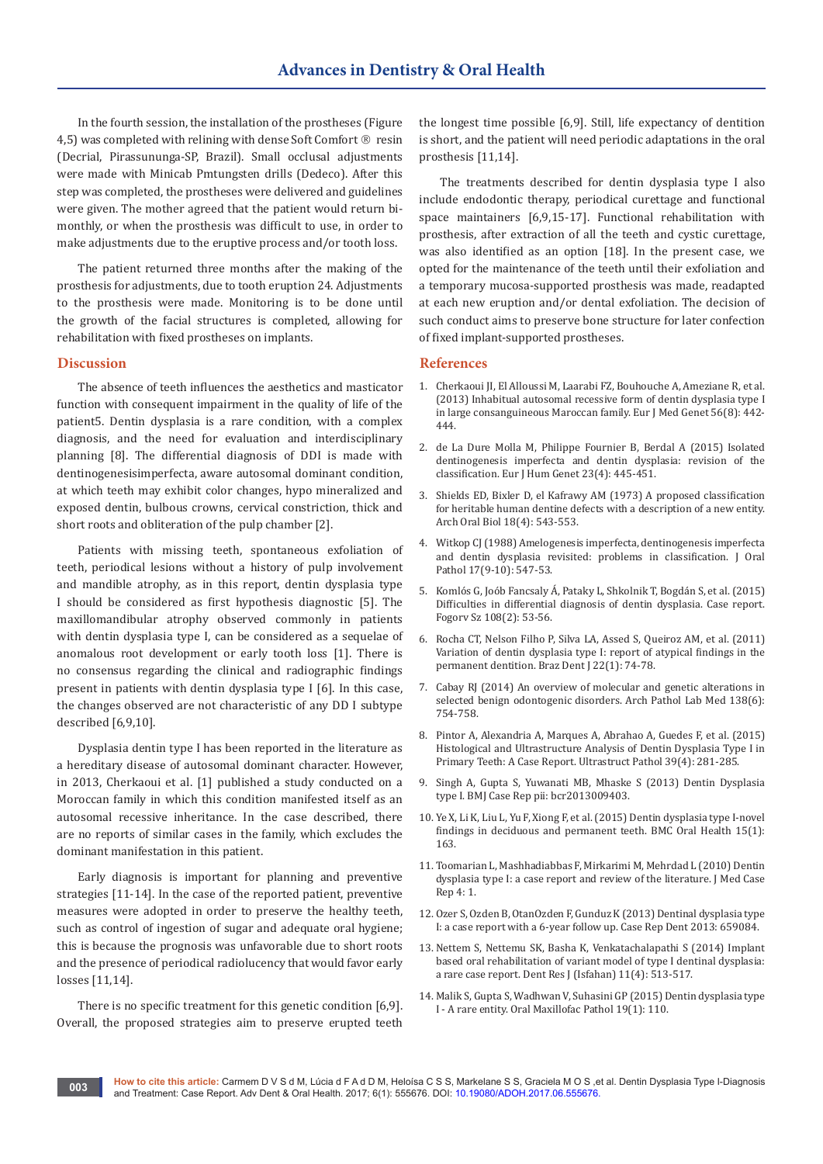In the fourth session, the installation of the prostheses (Figure 4,5) was completed with relining with dense Soft Comfort  $\mathbb{R}$  resin (Decrial, Pirassununga-SP, Brazil). Small occlusal adjustments were made with Minicab Pmtungsten drills (Dedeco). After this step was completed, the prostheses were delivered and guidelines were given. The mother agreed that the patient would return bimonthly, or when the prosthesis was difficult to use, in order to make adjustments due to the eruptive process and/or tooth loss.

The patient returned three months after the making of the prosthesis for adjustments, due to tooth eruption 24. Adjustments to the prosthesis were made. Monitoring is to be done until the growth of the facial structures is completed, allowing for rehabilitation with fixed prostheses on implants.

#### **Discussion**

The absence of teeth influences the aesthetics and masticator function with consequent impairment in the quality of life of the patient5. Dentin dysplasia is a rare condition, with a complex diagnosis, and the need for evaluation and interdisciplinary planning [8]. The differential diagnosis of DDI is made with dentinogenesisimperfecta, aware autosomal dominant condition, at which teeth may exhibit color changes, hypo mineralized and exposed dentin, bulbous crowns, cervical constriction, thick and short roots and obliteration of the pulp chamber [2].

Patients with missing teeth, spontaneous exfoliation of teeth, periodical lesions without a history of pulp involvement and mandible atrophy, as in this report, dentin dysplasia type I should be considered as first hypothesis diagnostic [5]. The maxillomandibular atrophy observed commonly in patients with dentin dysplasia type I, can be considered as a sequelae of anomalous root development or early tooth loss [1]. There is no consensus regarding the clinical and radiographic findings present in patients with dentin dysplasia type I [6]. In this case, the changes observed are not characteristic of any DD I subtype described [6,9,10].

Dysplasia dentin type I has been reported in the literature as a hereditary disease of autosomal dominant character. However, in 2013, Cherkaoui et al. [1] published a study conducted on a Moroccan family in which this condition manifested itself as an autosomal recessive inheritance. In the case described, there are no reports of similar cases in the family, which excludes the dominant manifestation in this patient.

Early diagnosis is important for planning and preventive strategies [11-14]. In the case of the reported patient, preventive measures were adopted in order to preserve the healthy teeth, such as control of ingestion of sugar and adequate oral hygiene; this is because the prognosis was unfavorable due to short roots and the presence of periodical radiolucency that would favor early losses [11,14].

There is no specific treatment for this genetic condition [6,9]. Overall, the proposed strategies aim to preserve erupted teeth the longest time possible [6,9]. Still, life expectancy of dentition is short, and the patient will need periodic adaptations in the oral prosthesis [11,14].

The treatments described for dentin dysplasia type I also include endodontic therapy, periodical curettage and functional space maintainers [6,9,15-17]. Functional rehabilitation with prosthesis, after extraction of all the teeth and cystic curettage, was also identified as an option [18]. In the present case, we opted for the maintenance of the teeth until their exfoliation and a temporary mucosa-supported prosthesis was made, readapted at each new eruption and/or dental exfoliation. The decision of such conduct aims to preserve bone structure for later confection of fixed implant-supported prostheses.

## **References**

- 1. Cherkaoui JI, El Alloussi M, Laarabi FZ, [Bouhouche A,](https://www.ncbi.nlm.nih.gov/pubmed/23712319) Ameziane R, et al. [\(2013\) Inhabitual autosomal recessive form of dentin dysplasia type I](https://www.ncbi.nlm.nih.gov/pubmed/23712319)  [in large consanguineous Maroccan family. Eur J Med Genet 56\(8\): 442-](https://www.ncbi.nlm.nih.gov/pubmed/23712319) [444.](https://www.ncbi.nlm.nih.gov/pubmed/23712319)
- 2. [de La Dure Molla M, Philippe Fournier B, Berdal A \(2015\) Isolated](https://www.ncbi.nlm.nih.gov/pubmed/25118030)  [dentinogenesis imperfecta and dentin dysplasia: revision of the](https://www.ncbi.nlm.nih.gov/pubmed/25118030)  [classification. Eur J Hum Genet 23\(4\): 445-451.](https://www.ncbi.nlm.nih.gov/pubmed/25118030)
- 3. Shields ED, Bixler D, [el Kafrawy AM \(1973\) A proposed classification](https://www.ncbi.nlm.nih.gov/pubmed/4516067)  [for heritable human dentine defects with a description of a new entity.](https://www.ncbi.nlm.nih.gov/pubmed/4516067)  Arch Oral Biol [18\(4\): 543-553.](https://www.ncbi.nlm.nih.gov/pubmed/4516067)
- 4. Witkop [CJ \(1988\) Amelogenesis imperfecta, dentinogenesis imperfecta](https://www.ncbi.nlm.nih.gov/pubmed/3150442)  and dentin [dysplasia revisited: problems in classification. J Oral](https://www.ncbi.nlm.nih.gov/pubmed/3150442)  Pathol [17\(9-10\): 547-53.](https://www.ncbi.nlm.nih.gov/pubmed/3150442)
- 5. [Komlós G, Joób Fancsaly Á, Pataky L, Shkolnik T, Bogdán S, et al. \(2015\)](https://www.ncbi.nlm.nih.gov/pubmed/26434208)  [Difficulties in differential diagnosis of dentin dysplasia. Case report.](https://www.ncbi.nlm.nih.gov/pubmed/26434208)  [Fogorv Sz 108\(2\): 53-56.](https://www.ncbi.nlm.nih.gov/pubmed/26434208)
- 6. Rocha CT, Nelson Filho P, Silva LA, Assed S, [Queiroz AM, et al. \(2011\)](https://www.ncbi.nlm.nih.gov/pubmed/21519653)  Variation of dentin dysplasia type [I: report of atypical findings in the](https://www.ncbi.nlm.nih.gov/pubmed/21519653)  [permanent dentition. Braz Dent J](https://www.ncbi.nlm.nih.gov/pubmed/21519653) 22(1): 74-78.
- 7. [Cabay RJ \(2014\) An overview of molecular and genetic alterations in](https://www.ncbi.nlm.nih.gov/pubmed/24878015)  [selected benign odontogenic disorders. Arch Pathol Lab Med 138\(6\):](https://www.ncbi.nlm.nih.gov/pubmed/24878015)  [754-758.](https://www.ncbi.nlm.nih.gov/pubmed/24878015)
- 8. [Pintor A, Alexandria A, Marques A, Abrahao A, Guedes F, et al. \(2015\)](https://www.ncbi.nlm.nih.gov/pubmed/25855887)  [Histological and Ultrastructure Analysis of Dentin Dysplasia Type I in](https://www.ncbi.nlm.nih.gov/pubmed/25855887)  [Primary Teeth: A Case Report. Ultrastruct Pathol 39\(4\): 281-285.](https://www.ncbi.nlm.nih.gov/pubmed/25855887)
- 9. Singh A, Gupta S, Yuwanati MB, [Mhaske S \(2013\) Dentin Dysplasia](https://www.ncbi.nlm.nih.gov/pubmed/23814198)  type I. BMJ Case Rep [pii: bcr2013009403.](https://www.ncbi.nlm.nih.gov/pubmed/23814198)
- 10. [Ye X, Li K, Liu L, Yu F, Xiong F, et al. \(2015\) Dentin dysplasia type I-novel](https://www.ncbi.nlm.nih.gov/pubmed/26693824/)  [findings in deciduous and permanent teeth. BMC Oral Health 15\(1\):](https://www.ncbi.nlm.nih.gov/pubmed/26693824/)  [163.](https://www.ncbi.nlm.nih.gov/pubmed/26693824/)
- 11. [Toomarian L, Mashhadiabbas F, Mirkarimi M, Mehrdad L \(2010\) Dentin](https://www.ncbi.nlm.nih.gov/pubmed/20205797/)  [dysplasia type I: a case report and review of the literature. J Med Case](https://www.ncbi.nlm.nih.gov/pubmed/20205797/)  [Rep 4: 1.](https://www.ncbi.nlm.nih.gov/pubmed/20205797/)
- 12. [Ozer S, Ozden B, OtanOzden F, Gunduz K \(2013\) Dentinal dysplasia type](https://www.ncbi.nlm.nih.gov/pubmed/23762649/)  [I: a case report with a 6-year follow up. Case Rep Dent 2013: 659084.](https://www.ncbi.nlm.nih.gov/pubmed/23762649/)
- 13. [Nettem S, Nettemu SK, Basha K, Venkatachalapathi S \(2014\) Implant](https://www.ncbi.nlm.nih.gov/pubmed/25225567/)  based oral rehabilitation [of variant model of type I dentinal dysplasia:](https://www.ncbi.nlm.nih.gov/pubmed/25225567/)  a rare case [report. Dent Res J \(Isfahan\) 11\(4\): 513-517.](https://www.ncbi.nlm.nih.gov/pubmed/25225567/)
- 14. [Malik S, Gupta S, Wadhwan V, Suhasini GP \(2015\) Dentin dysplasia type](https://www.ncbi.nlm.nih.gov/pubmed/26097326/)  [I - A rare entity. Oral Maxillofac Pathol 19\(1\): 110.](https://www.ncbi.nlm.nih.gov/pubmed/26097326/)